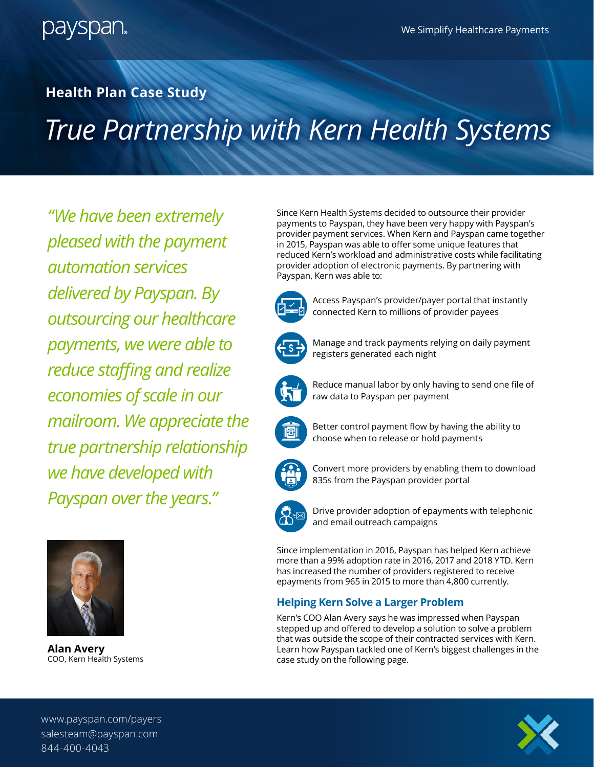

### **Health Plan Case Study**

# *True Partnership with Kern Health Systems*

*"We have been extremely pleased with the payment automation services delivered by Payspan. By outsourcing our healthcare payments, we were able to reduce staffing and realize economies of scale in our mailroom. We appreciate the true partnership relationship we have developed with Payspan over the years."*



**Alan Avery** COO, Kern Health Systems

Since Kern Health Systems decided to outsource their provider payments to Payspan, they have been very happy with Payspan's provider payment services. When Kern and Payspan came together in 2015, Payspan was able to offer some unique features that reduced Kern's workload and administrative costs while facilitating provider adoption of electronic payments. By partnering with Payspan, Kern was able to:



Access Payspan's provider/payer portal that instantly connected Kern to millions of provider payees



Manage and track payments relying on daily payment registers generated each night



Reduce manual labor by only having to send one file of raw data to Payspan per payment



Better control payment flow by having the ability to choose when to release or hold payments



Convert more providers by enabling them to download 835s from the Payspan provider portal



Drive provider adoption of epayments with telephonic and email outreach campaigns

Since implementation in 2016, Payspan has helped Kern achieve more than a 99% adoption rate in 2016, 2017 and 2018 YTD. Kern has increased the number of providers registered to receive epayments from 965 in 2015 to more than 4,800 currently.

### **Helping Kern Solve a Larger Problem**

Kern's COO Alan Avery says he was impressed when Payspan stepped up and offered to develop a solution to solve a problem that was outside the scope of their contracted services with Kern. Learn how Payspan tackled one of Kern's biggest challenges in the case study on the following page.